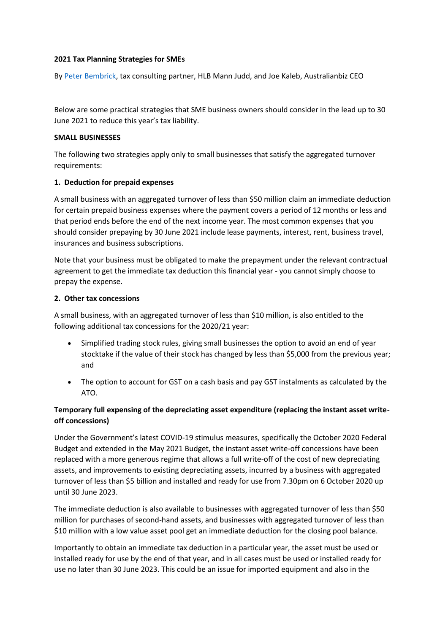### **2021 Tax Planning Strategies for SMEs**

B[y Peter Bembrick,](https://www.hlb.com.au/our-people/peter-bembrick/) tax consulting partner, HLB Mann Judd, and Joe Kaleb, Australianbiz CEO

Below are some practical strategies that SME business owners should consider in the lead up to 30 June 2021 to reduce this year's tax liability.

### **SMALL BUSINESSES**

The following two strategies apply only to small businesses that satisfy the aggregated turnover requirements:

### **1. Deduction for prepaid expenses**

A small business with an aggregated turnover of less than \$50 million claim an immediate deduction for certain prepaid business expenses where the payment covers a period of 12 months or less and that period ends before the end of the next income year. The most common expenses that you should consider prepaying by 30 June 2021 include lease payments, interest, rent, business travel, insurances and business subscriptions.

Note that your business must be obligated to make the prepayment under the relevant contractual agreement to get the immediate tax deduction this financial year - you cannot simply choose to prepay the expense.

### **2. Other tax concessions**

A small business, with an aggregated turnover of less than \$10 million, is also entitled to the following additional tax concessions for the 2020/21 year:

- Simplified trading stock rules, giving small businesses the option to avoid an end of year stocktake if the value of their stock has changed by less than \$5,000 from the previous year; and
- The option to account for GST on a cash basis and pay GST instalments as calculated by the ATO.

# **Temporary full expensing of the depreciating asset expenditure (replacing the instant asset writeoff concessions)**

Under the Government's latest COVID-19 stimulus measures, specifically the October 2020 Federal Budget and extended in the May 2021 Budget, the instant asset write-off concessions have been replaced with a more generous regime that allows a full write-off of the cost of new depreciating assets, and improvements to existing depreciating assets, incurred by a business with aggregated turnover of less than \$5 billion and installed and ready for use from 7.30pm on 6 October 2020 up until 30 June 2023.

The immediate deduction is also available to businesses with aggregated turnover of less than \$50 million for purchases of second-hand assets, and businesses with aggregated turnover of less than \$10 million with a low value asset pool get an immediate deduction for the closing pool balance.

Importantly to obtain an immediate tax deduction in a particular year, the asset must be used or installed ready for use by the end of that year, and in all cases must be used or installed ready for use no later than 30 June 2023. This could be an issue for imported equipment and also in the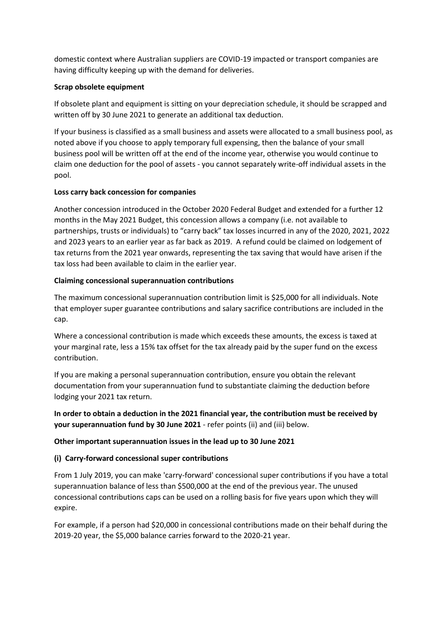domestic context where Australian suppliers are COVID-19 impacted or transport companies are having difficulty keeping up with the demand for deliveries.

## **Scrap obsolete equipment**

If obsolete plant and equipment is sitting on your depreciation schedule, it should be scrapped and written off by 30 June 2021 to generate an additional tax deduction.

If your business is classified as a small business and assets were allocated to a small business pool, as noted above if you choose to apply temporary full expensing, then the balance of your small business pool will be written off at the end of the income year, otherwise you would continue to claim one deduction for the pool of assets - you cannot separately write-off individual assets in the pool.

## **Loss carry back concession for companies**

Another concession introduced in the October 2020 Federal Budget and extended for a further 12 months in the May 2021 Budget, this concession allows a company (i.e. not available to partnerships, trusts or individuals) to "carry back" tax losses incurred in any of the 2020, 2021, 2022 and 2023 years to an earlier year as far back as 2019. A refund could be claimed on lodgement of tax returns from the 2021 year onwards, representing the tax saving that would have arisen if the tax loss had been available to claim in the earlier year.

## **Claiming concessional superannuation contributions**

The maximum concessional superannuation contribution limit is \$25,000 for all individuals. Note that employer super guarantee contributions and salary sacrifice contributions are included in the cap.

Where a concessional contribution is made which exceeds these amounts, the excess is taxed at your marginal rate, less a 15% tax offset for the tax already paid by the super fund on the excess contribution.

If you are making a personal superannuation contribution, ensure you obtain the relevant documentation from your superannuation fund to substantiate claiming the deduction before lodging your 2021 tax return.

**In order to obtain a deduction in the 2021 financial year, the contribution must be received by your superannuation fund by 30 June 2021** - refer points (ii) and (iii) below.

## **Other important superannuation issues in the lead up to 30 June 2021**

## **(i) Carry-forward concessional super contributions**

From 1 July 2019, you can make 'carry-forward' concessional super contributions if you have a total superannuation balance of less than \$500,000 at the end of the previous year. The unused concessional contributions caps can be used on a rolling basis for five years upon which they will expire.

For example, if a person had \$20,000 in concessional contributions made on their behalf during the 2019-20 year, the \$5,000 balance carries forward to the 2020-21 year.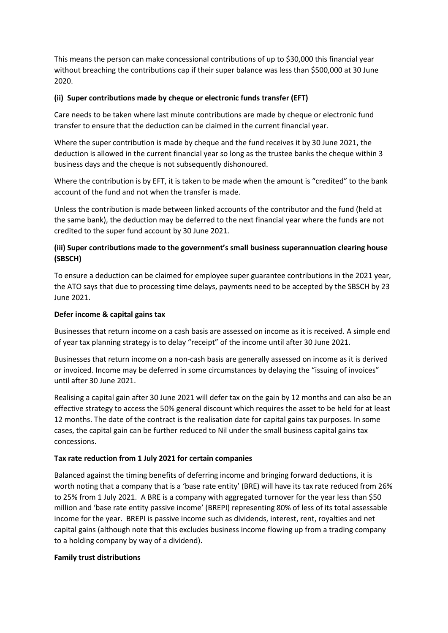This means the person can make concessional contributions of up to \$30,000 this financial year without breaching the contributions cap if their super balance was less than \$500,000 at 30 June 2020.

### **(ii) Super contributions made by cheque or electronic funds transfer (EFT)**

Care needs to be taken where last minute contributions are made by cheque or electronic fund transfer to ensure that the deduction can be claimed in the current financial year.

Where the super contribution is made by cheque and the fund receives it by 30 June 2021, the deduction is allowed in the current financial year so long as the trustee banks the cheque within 3 business days and the cheque is not subsequently dishonoured.

Where the contribution is by EFT, it is taken to be made when the amount is "credited" to the bank account of the fund and not when the transfer is made.

Unless the contribution is made between linked accounts of the contributor and the fund (held at the same bank), the deduction may be deferred to the next financial year where the funds are not credited to the super fund account by 30 June 2021.

# **(iii) Super contributions made to the government's small business superannuation clearing house (SBSCH)**

To ensure a deduction can be claimed for employee super guarantee contributions in the 2021 year, the ATO says that due to processing time delays, payments need to be accepted by the SBSCH by 23 June 2021.

## **Defer income & capital gains tax**

Businesses that return income on a cash basis are assessed on income as it is received. A simple end of year tax planning strategy is to delay "receipt" of the income until after 30 June 2021.

Businesses that return income on a non-cash basis are generally assessed on income as it is derived or invoiced. Income may be deferred in some circumstances by delaying the "issuing of invoices" until after 30 June 2021.

Realising a capital gain after 30 June 2021 will defer tax on the gain by 12 months and can also be an effective strategy to access the 50% general discount which requires the asset to be held for at least 12 months. The date of the contract is the realisation date for capital gains tax purposes. In some cases, the capital gain can be further reduced to Nil under the small business capital gains tax concessions.

## **Tax rate reduction from 1 July 2021 for certain companies**

Balanced against the timing benefits of deferring income and bringing forward deductions, it is worth noting that a company that is a 'base rate entity' (BRE) will have its tax rate reduced from 26% to 25% from 1 July 2021. A BRE is a company with aggregated turnover for the year less than \$50 million and 'base rate entity passive income' (BREPI) representing 80% of less of its total assessable income for the year. BREPI is passive income such as dividends, interest, rent, royalties and net capital gains (although note that this excludes business income flowing up from a trading company to a holding company by way of a dividend).

### **Family trust distributions**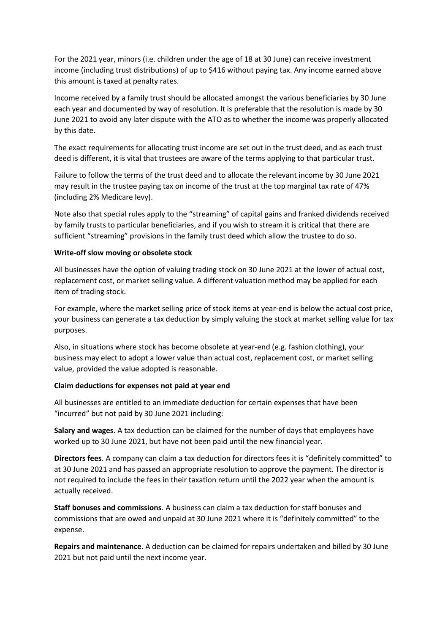For the 2021 year, minors (i.e. children under the age of 18 at 30 June) can receive investment income (including trust distributions) of up to \$416 without paying tax. Any income earned above this amount is taxed at penalty rates.

Income received by a family trust should be allocated amongst the various beneficiaries by 30 June each year and documented by way of resolution. It is preferable that the resolution is made by 30 June 2021 to avoid any later dispute with the ATO as to whether the income was properly allocated by this date.

The exact requirements for allocating trust income are set out in the trust deed, and as each trust deed is different, it is vital that trustees are aware of the terms applying to that particular trust.

Failure to follow the terms of the trust deed and to allocate the relevant income by 30 June 2021 may result in the trustee paying tax on income of the trust at the top marginal tax rate of 47% (including 2% Medicare levy).

Note also that special rules apply to the "streaming" of capital gains and franked dividends received by family trusts to particular beneficiaries, and if you wish to stream it is critical that there are sufficient "streaming" provisions in the family trust deed which allow the trustee to do so.

### **Write-off slow moving or obsolete stock**

All businesses have the option of valuing trading stock on 30 June 2021 at the lower of actual cost, replacement cost, or market selling value. A different valuation method may be applied for each item of trading stock.

For example, where the market selling price of stock items at year-end is below the actual cost price, your business can generate a tax deduction by simply valuing the stock at market selling value for tax purposes.

Also, in situations where stock has become obsolete at year-end (e.g. fashion clothing), your business may elect to adopt a lower value than actual cost, replacement cost, or market selling value, provided the value adopted is reasonable.

### **Claim deductions for expenses not paid at year end**

All businesses are entitled to an immediate deduction for certain expenses that have been "incurred" but not paid by 30 June 2021 including:

**Salary and wages**. A tax deduction can be claimed for the number of days that employees have worked up to 30 June 2021, but have not been paid until the new financial year.

**Directors fees**. A company can claim a tax deduction for directors fees it is "definitely committed" to at 30 June 2021 and has passed an appropriate resolution to approve the payment. The director is not required to include the fees in their taxation return until the 2022 year when the amount is actually received.

**Staff bonuses and commissions**. A business can claim a tax deduction for staff bonuses and commissions that are owed and unpaid at 30 June 2021 where it is "definitely committed" to the expense.

**Repairs and maintenance**. A deduction can be claimed for repairs undertaken and billed by 30 June 2021 but not paid until the next income year.